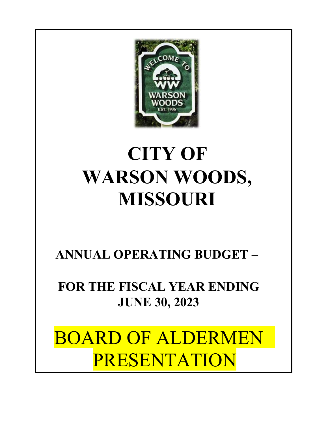

# **CITY OF WARSON WOODS, MISSOURI**

**ANNUAL OPERATING BUDGET –** 

**FOR THE FISCAL YEAR ENDING JUNE 30, 2023** 

BOARD OF ALDERMEN PRESENTATION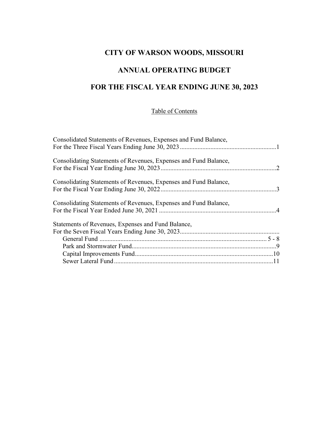#### **CITY OF WARSON WOODS, MISSOURI**

#### **ANNUAL OPERATING BUDGET**

#### **FOR THE FISCAL YEAR ENDING JUNE 30, 2023**

#### Table of Contents

| Consolidated Statements of Revenues, Expenses and Fund Balance,  |  |
|------------------------------------------------------------------|--|
|                                                                  |  |
|                                                                  |  |
| Consolidating Statements of Revenues, Expenses and Fund Balance, |  |
|                                                                  |  |
|                                                                  |  |
| Consolidating Statements of Revenues, Expenses and Fund Balance, |  |
|                                                                  |  |
|                                                                  |  |
| Consolidating Statements of Revenues, Expenses and Fund Balance, |  |
|                                                                  |  |
| Statements of Revenues, Expenses and Fund Balance,               |  |
|                                                                  |  |
|                                                                  |  |
|                                                                  |  |
|                                                                  |  |
|                                                                  |  |
|                                                                  |  |
|                                                                  |  |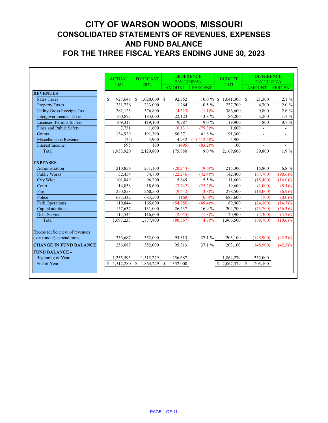# **CITY OF WARSON WOODS, MISSOURI CONSOLIDATED STATEMENTS OF REVENUES, EXPENSES AND FUND BALANCE FOR THE THREE FISCAL YEARS ENDING JUNE 30, 2023**

|                                   | <b>ACTUAL</b>   | <b>FORECAST</b>           | <b>DIFFERENCE</b>       |                 | <b>BUDGET</b>  | <b>DIFFERENCE</b>        |                          |
|-----------------------------------|-----------------|---------------------------|-------------------------|-----------------|----------------|--------------------------|--------------------------|
|                                   | 2021            | 2022                      | FAV / (UNFAV)           |                 | 2023           | FAV / (UNFAV)            |                          |
| <b>REVENUES</b>                   |                 |                           | <b>AMOUNT</b>           | <b>PERCENT</b>  |                | <b>AMOUNT</b>            | <b>PERCENT</b>           |
| <b>Sales Taxes</b>                | \$<br>927,648   | \$1,020,000               | $\mathbb{S}$<br>92,352  | $10.0 \%$ \$    | $1,041,300$ \$ | 21,300                   | 2.1 %                    |
| <b>Property Taxes</b>             | 231,736         | 233,000                   | 1,264                   | $0.5 \%$        | 237,700        | 4,700                    | 2.0 %                    |
| <b>Utility Gross Receipts Tax</b> | 381,123         | 376,800                   | (4,323)                 | $(1.1)\%$       | 386,600        | 9,800                    | 2.6 %                    |
| <b>Intergovernmental Taxes</b>    | 160,877         | 183,000                   | 22,123                  | 13.8 %          | 186,200        | 3,200                    | $1.7\%$                  |
| Licenses, Permits & Fees          | 109,313         | 119,100                   | 9,787                   | $9.0 \%$        | 119,900        | 800                      | $0.7 \%$                 |
| <b>Fines and Public Safety</b>    | 7,731           | 1,600                     | (6, 131)                | $(79.3)\%$      | 1,600          | $\blacksquare$           | $\overline{\phantom{a}}$ |
| Grants                            | 134,929         | 191,300                   | 56,371                  | 41.8 %          | 191,300        | $\overline{\phantom{a}}$ | ۰.                       |
| Miscellaneous Revenue             | (32)            | 4,900                     | 4,932                   | $(15, 412.5)\%$ | 4,900          | -                        | $\blacksquare$           |
| <b>Interest Income</b>            | 595             | 100                       | (495)                   | $(83.2)\%$      | 100            | $\overline{a}$           | $\overline{\phantom{a}}$ |
| Total                             | 1,953,920       | 2,129,800                 | 175,880                 | $9.0 \%$        | 2,169,600      | 39,800                   | 1.9 %                    |
|                                   |                 |                           |                         |                 |                |                          |                          |
| <b>EXPENSES</b>                   |                 |                           |                         |                 |                |                          |                          |
| Administration                    | 210,856         | 231,100                   | (20, 244)               | $(9.6)\%$       | 215,300        | 15,800                   | 6.8 %                    |
| <b>Public Works</b>               | 52,454          | 74,700                    | (22, 246)               | $(42.4)\%$      | 142,400        | (67,700)                 | $(90.6)\%$               |
| City Wide                         | 101,849         | 96,200                    | 5,649                   | 5.5 %           | 111,600        | (15,400)                 | $(16.0)\%$               |
| Court                             | 14,858          | 18,600                    | (3,742)                 | $(25.2)\%$      | 19,600         | (1,000)                  | $(5.4)\%$                |
| Fire                              | 250,858         | 260,500                   | (9,642)                 | $(3.8)\%$       | 278,500        | (18,000)                 | $(6.9)\%$                |
| Police                            | 683,332         | 683,500                   | (168)                   | $(0.0)\%$       | 683,600        | (100)                    | $(0.0)\%$                |
| <b>Park Operations</b>            | 110,844         | 165,600                   | (54, 756)               | $(49.4)\%$      | 189,900        | (24,300)                 | $(14.7)\%$               |
| Capital additions                 | 157,637         | 131,000                   | 26,637                  | 16.9 %          | 204,700        | (73,700)                 | $(56.3)\%$               |
| Debt Service                      | 114,545         | 116,600                   | (2,055)                 | $(1.8)\%$       | 120,900        | (4,300)                  | $(3.7)\%$                |
| Total                             | 1,697,233       | 1,777,800                 | (80, 567)               | $(4.7)\%$       | 1,966,500      | (188,700)                | $(10.6)\%$               |
|                                   |                 |                           |                         |                 |                |                          |                          |
| Excess (deficiency) of revenues   |                 |                           |                         |                 |                |                          |                          |
| over (under) expenditures         | 256,687         | 352,000                   | 95,313                  | 37.1 %          | 203,100        | (148,900)                | $(42.3)\%$               |
| <b>CHANGE IN FUND BALANCE</b>     | 256,687         | 352,000                   | 95,313                  | 37.1 %          | 203,100        | (148,900)                | $(42.3)\%$               |
| <b>FUND BALANCE -</b>             |                 |                           |                         |                 |                |                          |                          |
| Beginning of Year                 | 1,255,593       | 1,512,279                 | 256,687                 |                 | 1,864,279      | 352,000                  |                          |
| End of Year                       | 1,512,280<br>\$ | 1,864,279<br>$\mathbb{S}$ | 352,000<br>$\mathbb{S}$ |                 | 2,067,379      | 203,100<br>$\mathbb{S}$  |                          |
|                                   |                 |                           |                         |                 |                |                          |                          |
|                                   |                 |                           |                         |                 |                |                          |                          |

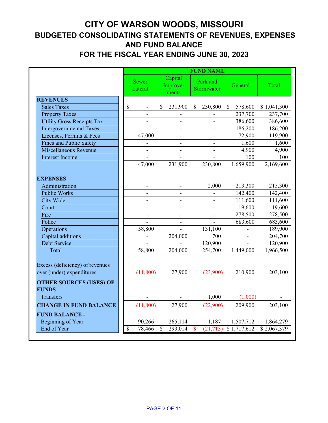## **CITY OF WARSON WOODS, MISSOURI BUDGETED CONSOLIDATING STATEMENTS OF REVENUES, EXPENSES AND FUND BALANCE FOR THE FISCAL YEAR ENDING JUNE 30, 2023**

|                                                                                                |                           |                              |                              |               | <b>FUND NAME</b>       |                         |             |
|------------------------------------------------------------------------------------------------|---------------------------|------------------------------|------------------------------|---------------|------------------------|-------------------------|-------------|
|                                                                                                |                           | <b>Sewer</b><br>Lateral      | Capital<br>Improve-<br>ments |               | Park and<br>Stormwater | General                 | Total       |
| <b>REVENUES</b>                                                                                |                           |                              |                              |               |                        |                         |             |
| <b>Sales Taxes</b>                                                                             | \$                        |                              | \$<br>231,900                | $\mathbb{S}$  | 230,800                | 578,600<br>$\mathbb{S}$ | \$1,041,300 |
| <b>Property Taxes</b>                                                                          |                           |                              |                              |               |                        | 237,700                 | 237,700     |
| <b>Utility Gross Receipts Tax</b>                                                              |                           | $\frac{1}{2}$                | $\blacksquare$               |               |                        | 386,600                 | 386,600     |
| <b>Intergovernmental Taxes</b>                                                                 |                           |                              | $\overline{\phantom{a}}$     |               |                        | 186,200                 | 186,200     |
| Licenses, Permits & Fees                                                                       |                           | 47,000                       | $\overline{\phantom{a}}$     |               |                        | 72,900                  | 119,900     |
| <b>Fines and Public Safety</b>                                                                 |                           |                              |                              |               |                        | 1,600                   | 1,600       |
| Miscellaneous Revenue                                                                          |                           | $\qquad \qquad \blacksquare$ | $\qquad \qquad \blacksquare$ |               |                        | 4,900                   | 4,900       |
| <b>Interest Income</b>                                                                         |                           |                              |                              |               |                        | 100                     | 100         |
|                                                                                                |                           | 47,000                       | 231,900                      |               | 230,800                | 1,659,900               | 2,169,600   |
| <b>EXPENSES</b>                                                                                |                           |                              |                              |               |                        |                         |             |
| Administration                                                                                 |                           |                              |                              |               | 2,000                  | 213,300                 | 215,300     |
| <b>Public Works</b>                                                                            |                           |                              |                              |               |                        | 142,400                 | 142,400     |
| <b>City Wide</b>                                                                               |                           | $\overline{\phantom{a}}$     | $\overline{\phantom{a}}$     |               |                        | 111,600                 | 111,600     |
| Court                                                                                          |                           |                              | -                            |               |                        | 19,600                  | 19,600      |
| Fire                                                                                           |                           | $\overline{\phantom{a}}$     | $\overline{\phantom{a}}$     |               |                        | 278,500                 | 278,500     |
| Police                                                                                         |                           |                              |                              |               |                        | 683,600                 | 683,600     |
| Operations                                                                                     |                           | 58,800                       |                              |               | 131,100                |                         | 189,900     |
| Capital additions                                                                              |                           |                              | 204,000                      |               | 700                    |                         | 204,700     |
| Debt Service                                                                                   |                           |                              |                              |               | 120,900                |                         | 120,900     |
| Total                                                                                          |                           | 58,800                       | 204,000                      |               | 254,700                | 1,449,000               | 1,966,500   |
| Excess (deficiency) of revenues<br>over (under) expenditures<br><b>OTHER SOURCES (USES) OF</b> |                           | (11,800)                     | 27,900                       |               | (23,900)               | 210,900                 | 203,100     |
| <b>FUNDS</b>                                                                                   |                           |                              |                              |               |                        |                         |             |
| Transfers                                                                                      |                           |                              |                              |               | 1,000                  | (1,000)                 |             |
| <b>CHANGE IN FUND BALANCE</b>                                                                  |                           | (11,800)                     | 27,900                       |               | (22,900)               | 209,900                 | 203,100     |
| <b>FUND BALANCE -</b>                                                                          |                           |                              |                              |               |                        |                         |             |
| Beginning of Year                                                                              |                           | 90,266                       | 265,114                      |               | 1,187                  | 1,507,712               | 1,864,279   |
| End of Year                                                                                    | $\boldsymbol{\mathsf{S}}$ | 78,466                       | \$<br>293,014                | $\mathbf{\$}$ | (21, 713)              | \$1,717,612             | \$2,067,379 |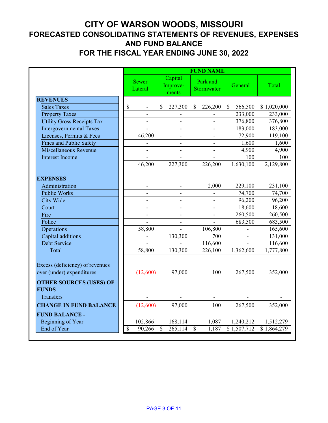### **CITY OF WARSON WOODS, MISSOURI FORECASTED CONSOLIDATING STATEMENTS OF REVENUES, EXPENSES AND FUND BALANCE FOR THE FISCAL YEAR ENDING JUNE 30, 2022**

|                                                                                                |                          |                              |              | <b>FUND NAME</b>       |                         |             |
|------------------------------------------------------------------------------------------------|--------------------------|------------------------------|--------------|------------------------|-------------------------|-------------|
|                                                                                                | <b>Sewer</b><br>Lateral  | Capital<br>Improve-<br>ments |              | Park and<br>Stormwater | General                 | Total       |
| <b>REVENUES</b>                                                                                |                          |                              |              |                        |                         |             |
| <b>Sales Taxes</b>                                                                             | \$                       | \$<br>227,300                | $\mathbb{S}$ | 226,200                | 566,500<br>$\mathbb{S}$ | \$1,020,000 |
| <b>Property Taxes</b>                                                                          |                          |                              |              |                        | 233,000                 | 233,000     |
| <b>Utility Gross Receipts Tax</b>                                                              |                          |                              |              |                        | 376,800                 | 376,800     |
| <b>Intergovernmental Taxes</b>                                                                 |                          | $\overline{\phantom{a}}$     |              |                        | 183,000                 | 183,000     |
| Licenses, Permits & Fees                                                                       | 46,200                   | $\overline{\phantom{a}}$     |              |                        | 72,900                  | 119,100     |
| <b>Fines and Public Safety</b>                                                                 |                          | $\overline{\phantom{0}}$     |              |                        | 1,600                   | 1,600       |
| Miscellaneous Revenue                                                                          |                          |                              |              |                        | 4,900                   | 4,900       |
| <b>Interest Income</b>                                                                         |                          |                              |              |                        | 100                     | 100         |
|                                                                                                | 46,200                   | 227,300                      |              | 226,200                | 1,630,100               | 2,129,800   |
| <b>EXPENSES</b>                                                                                |                          |                              |              |                        |                         |             |
| Administration                                                                                 |                          |                              |              | 2,000                  | 229,100                 | 231,100     |
| <b>Public Works</b>                                                                            |                          |                              |              |                        | 74,700                  | 74,700      |
| <b>City Wide</b>                                                                               | $\overline{\phantom{a}}$ | $\overline{a}$               |              |                        | 96,200                  | 96,200      |
| Court                                                                                          |                          | $\overline{a}$               |              |                        | 18,600                  | 18,600      |
| Fire                                                                                           |                          | $\overline{\phantom{0}}$     |              |                        | 260,500                 | 260,500     |
| Police                                                                                         |                          |                              |              |                        | 683,500                 | 683,500     |
| Operations                                                                                     | 58,800                   |                              |              | 106,800                |                         | 165,600     |
| Capital additions                                                                              |                          | 130,300                      |              | 700                    |                         | 131,000     |
| Debt Service                                                                                   |                          |                              |              | 116,600                | $\overline{a}$          | 116,600     |
| Total                                                                                          | 58,800                   | 130,300                      |              | 226,100                | 1,362,600               | 1,777,800   |
| Excess (deficiency) of revenues<br>over (under) expenditures<br><b>OTHER SOURCES (USES) OF</b> | (12,600)                 | 97,000                       |              | 100                    | 267,500                 | 352,000     |
| <b>FUNDS</b><br>Transfers                                                                      |                          |                              |              |                        |                         |             |
| <b>CHANGE IN FUND BALANCE</b>                                                                  | (12,600)                 | 97,000                       |              | 100                    | 267,500                 | 352,000     |
| <b>FUND BALANCE -</b><br>Beginning of Year                                                     | 102,866                  | 168,114                      |              | 1,087                  | 1,240,212               | 1,512,279   |
| End of Year                                                                                    | \$<br>90,266             | \$<br>265,114                | $\mathbb{S}$ | 1,187                  | \$1,507,712             | \$1,864,279 |
|                                                                                                |                          |                              |              |                        |                         |             |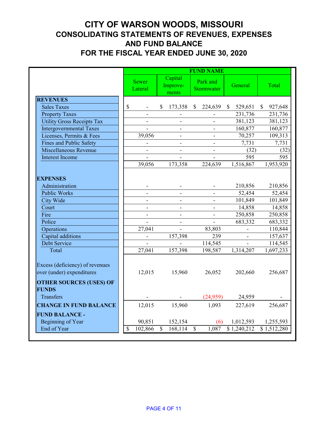### **CITY OF WARSON WOODS, MISSOURI CONSOLIDATING STATEMENTS OF REVENUES, EXPENSES AND FUND BALANCE FOR THE FISCAL YEAR ENDED JUNE 30, 2020**

|                                                                                                | <b>FUND NAME</b> |                          |              |                              |                           |                        |                         |              |             |  |  |
|------------------------------------------------------------------------------------------------|------------------|--------------------------|--------------|------------------------------|---------------------------|------------------------|-------------------------|--------------|-------------|--|--|
|                                                                                                |                  | <b>Sewer</b><br>Lateral  |              | Capital<br>Improve-<br>ments |                           | Park and<br>Stormwater | General                 |              | Total       |  |  |
| <b>REVENUES</b>                                                                                |                  |                          |              |                              |                           |                        |                         |              |             |  |  |
| <b>Sales Taxes</b>                                                                             | \$               |                          | $\mathbb{S}$ | 173,358                      | $\mathbb{S}$              | 224,639                | 529,651<br>$\mathbb{S}$ | $\mathbb{S}$ | 927,648     |  |  |
| <b>Property Taxes</b>                                                                          |                  |                          |              |                              |                           |                        | 231,736                 |              | 231,736     |  |  |
| <b>Utility Gross Receipts Tax</b>                                                              |                  |                          |              |                              |                           |                        | 381,123                 |              | 381,123     |  |  |
| <b>Intergovernmental Taxes</b>                                                                 |                  |                          |              |                              |                           |                        | 160,877                 |              | 160,877     |  |  |
| Licenses, Permits & Fees                                                                       |                  | 39,056                   |              | $\overline{\phantom{a}}$     |                           |                        | 70,257                  |              | 109,313     |  |  |
| Fines and Public Safety                                                                        |                  |                          |              |                              |                           |                        | 7,731                   |              | 7,731       |  |  |
| Miscellaneous Revenue                                                                          |                  | $\overline{\phantom{a}}$ |              | $\qquad \qquad \blacksquare$ |                           |                        | (32)                    |              | (32)        |  |  |
| Interest Income                                                                                |                  |                          |              |                              |                           |                        | 595                     |              | 595         |  |  |
|                                                                                                |                  | 39,056                   |              | 173,358                      |                           | 224,639                | 1,516,867               |              | 1,953,920   |  |  |
| <b>EXPENSES</b>                                                                                |                  |                          |              |                              |                           |                        |                         |              |             |  |  |
| Administration                                                                                 |                  |                          |              |                              |                           |                        | 210,856                 |              | 210,856     |  |  |
| Public Works                                                                                   |                  |                          |              | $\frac{1}{2}$                |                           |                        | 52,454                  |              | 52,454      |  |  |
| <b>City Wide</b>                                                                               |                  |                          |              |                              |                           |                        | 101,849                 |              | 101,849     |  |  |
| Court                                                                                          |                  |                          |              |                              |                           |                        | 14,858                  |              | 14,858      |  |  |
| Fire                                                                                           |                  |                          |              |                              |                           |                        | 250,858                 |              | 250,858     |  |  |
| Police                                                                                         |                  | $\overline{\phantom{a}}$ |              | $\blacksquare$               |                           |                        | 683,332                 |              | 683,332     |  |  |
| Operations                                                                                     |                  | 27,041                   |              |                              |                           | 83,803                 |                         |              | 110,844     |  |  |
| Capital additions                                                                              |                  |                          |              | 157,398                      |                           | 239                    |                         |              | 157,637     |  |  |
| Debt Service                                                                                   |                  |                          |              |                              |                           | 114,545                |                         |              | 114,545     |  |  |
| Total                                                                                          |                  | 27,041                   |              | 157,398                      |                           | 198,587                | 1,314,207               |              | 1,697,233   |  |  |
| Excess (deficiency) of revenues<br>over (under) expenditures<br><b>OTHER SOURCES (USES) OF</b> |                  | 12,015                   |              | 15,960                       |                           | 26,052                 | 202,660                 |              | 256,687     |  |  |
| <b>FUNDS</b>                                                                                   |                  |                          |              |                              |                           |                        |                         |              |             |  |  |
| Transfers                                                                                      |                  |                          |              |                              |                           | (24,959)               | 24,959                  |              |             |  |  |
| <b>CHANGE IN FUND BALANCE</b>                                                                  |                  | 12,015                   |              | 15,960                       |                           | 1,093                  | 227,619                 |              | 256,687     |  |  |
| <b>FUND BALANCE -</b>                                                                          |                  |                          |              |                              |                           |                        |                         |              |             |  |  |
| Beginning of Year                                                                              |                  | 90,851                   |              | 152,154                      |                           | (6)                    | 1,012,593               |              | 1,255,593   |  |  |
| End of Year                                                                                    | \$               | 102,866                  | \$           | 168,114                      | $\boldsymbol{\mathsf{S}}$ | 1,087                  | \$1,240,212             |              | \$1,512,280 |  |  |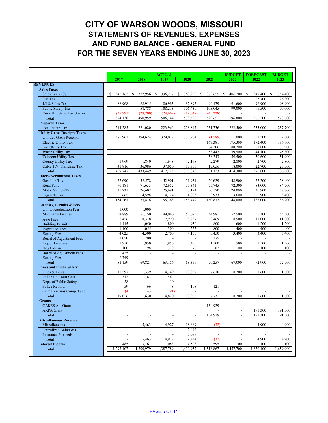|                                     |              |                          |                | <b>ACTUAL</b>                |               |                          |                          | <b>BUDGET</b>            | <b>FORECAST</b>             | <b>BUDGET</b> |
|-------------------------------------|--------------|--------------------------|----------------|------------------------------|---------------|--------------------------|--------------------------|--------------------------|-----------------------------|---------------|
|                                     |              | 2017                     | 2018           | 2019                         | 2020          |                          | 2021                     | 2022                     | 2022                        | 2023          |
| <b>REVENUES</b>                     |              |                          |                |                              |               |                          |                          |                          |                             |               |
| <b>Sales Taxes</b>                  |              |                          |                |                              |               |                          |                          |                          |                             |               |
| Sales Tax - 1%                      | <sup>S</sup> | 345,162<br><sup>S</sup>  | 372,956        | 336,217<br>\$                | 363,250<br>-S |                          | <sup>\$</sup><br>373,655 | 406,200<br>-S            | 347,400 \$<br><sup>\$</sup> | 354,400       |
| Use Tax                             |              |                          |                |                              |               |                          |                          |                          | 25,700                      | 26,300        |
| 1/4% Sales Tax                      |              | 88,968                   | 88,915         | 86,983                       |               | 87,895                   | 96,179                   | 91,600                   | 96,900                      | 98,900        |
| <b>Public Safety Tax</b>            |              |                          | 58,788         | 108,213                      | 106,430       |                          | 103,045                  | 99,000                   | 96,500                      | 99,000        |
| Rock Hill Sales Tax Sharin          |              | (39,991)                 | (29,700)       | (24, 669)                    | (19,047)      |                          | (43,228)                 |                          |                             |               |
| Total                               |              | 394,138                  | 490,959        | 506,744                      | 538,528       |                          | 529,651                  | 596,800                  | 566,500                     | 578,600       |
| <b>Property Taxes</b>               |              |                          |                |                              |               |                          |                          |                          |                             |               |
| Real Estate Tax                     |              | 214,285                  | 221,080        | 223,966                      | 228,847       |                          | 231,736                  | 222,500                  | 233,000                     | 237,700       |
| <b>Utility Gross Receipts Taxes</b> |              |                          |                |                              |               |                          |                          |                          |                             |               |
| <b>Utilities Gross Receipts</b>     |              | 385,962                  | 394,624        | 379,027                      | 370,964       |                          | (1,589)                  | 11,000                   | 2,500                       | 2,600         |
| <b>Electric Utility Tax</b>         |              |                          |                |                              |               |                          | 167,381                  | 175,300                  | 172,400                     | 176,800       |
| <b>Gas Utility Tax</b>              |              |                          |                |                              |               |                          | 84,206                   | 88,200                   | 81,800                      | 83,900        |
| Water Utility Tax                   |              |                          |                |                              |               |                          | 53,447                   | 59,500                   | 44,100                      | 45,300        |
| <b>Telecom Utility Tax</b>          |              | $\overline{\phantom{a}}$ |                |                              |               |                          | 58,343                   | 59,500                   | 50,600                      | 51,900        |
| <b>County Utility Tax</b>           |              | 1,969                    | 1,840          | 1,648                        |               | 2,178                    | 2,279                    | 2,800                    | 2,700                       | 2,800         |
| Cable T.V. Franchise Tax            |              | 41,816                   | 36,986         | 37,050                       |               | 17,706                   | 17,056                   | 18,000                   | 22,700                      | 23,300        |
| Total                               |              | 429,747                  | 433,449        | 417,725                      | 390,848       |                          | 381,123                  | 414,300                  | 376,800                     | 386,600       |
| <b>Intergovernmental Taxes</b>      |              |                          |                |                              |               |                          |                          |                          |                             |               |
| Gasoline Tax                        |              | 52,690                   | 52,578         | 52,901                       |               | 51,931                   | 50,629                   | 48,900                   | 57,200                      | 58,400        |
| Road Fund                           |              | 70,181                   | 71,633         | 72,652                       |               | 77,341                   | 75,745                   | 72,300                   | 83,000                      | 84,700        |
| Motor VehicleTax                    |              | 25,731                   | 26,607         | 25,691                       |               | 23,174                   | 30,570                   | 24,000                   | 36,900                      | 37,700        |
| Cigarette Tax                       |              | 5,665                    | 4,598          | 4,124                        |               | 4,003                    | 3,933                    | 3,600                    | 5,900                       | 5,400         |
| Total                               |              | 154,267                  | 155,416        | 155,368                      | 156,449       |                          | 160,877                  | 148,800                  | 183,000                     | 186,200       |
| <b>Licenses, Permits &amp; Fees</b> |              |                          |                |                              |               |                          |                          |                          |                             |               |
| <b>Utility Application Fees</b>     |              | 1,000                    | 1,000          |                              |               |                          |                          |                          |                             |               |
| <b>Merchants License</b>            |              | 54,889                   | 51,150         | 49,046                       |               | 52,025                   | 54,981                   | 52,500                   | 55,300                      | 55,300        |
| <b>Auto Fees</b>                    |              | 8,456                    | 8,318          | 7,990                        |               | 8,237                    | 8,469                    | 8,500                    | 11,000                      | 11,000        |
| <b>Building Permit</b>              |              | 1,415                    | 1,050          | 800                          |               | 950                      | 800                      | 600                      | 1,200                       | 1,200         |
| <b>Inspection Fees</b>              |              | 1,100                    | 1,055          | 300                          |               | 525                      | 800                      | 400                      | 400                         | 400           |
| <b>Zoning Fees</b>                  |              | 4,025                    | 4,500          | 2,700                        |               | 4,150                    | 3,450                    | 3,400                    | 3,400                       | 3,400         |
| Board of Adjustment Fees            |              | 1,050                    | 700            |                              |               |                          | 175                      |                          |                             |               |
| Liquor Licenses                     |              | 1,950                    | 1,950          | 1,950                        |               | 2,400                    | 1,500                    | 1,500                    | 1,500                       | 1,500         |
| Dog License                         |              | 100                      | 98             | 370                          |               | 70                       | 82                       | 100                      | 100                         | 100           |
| <b>Board of Adjustment Fees</b>     |              | 425                      | $\blacksquare$ |                              |               | $\blacksquare$           | $\blacksquare$           | $\overline{\phantom{0}}$ |                             |               |
| <b>Zoning Fees</b>                  |              | 6,749                    |                |                              |               |                          |                          |                          |                             |               |
| Total                               |              | 81,159                   | 69,821         | 63,156                       |               | 68,356                   | 70,257                   | 67,000                   | 72,900                      | 72,900        |
| <b>Fines and Public Safety</b>      |              |                          |                |                              |               |                          |                          |                          |                             |               |
| Fines & Costs                       |              | 18,597                   | 11,339         | 14,349                       |               | 13,859                   | 7,610                    | 8,200                    | 1,600                       | 1,600         |
| Police Ed.Court Cost                |              | 317                      | 183            | 564                          |               | $\blacksquare$           | $\blacksquare$           | $\blacksquare$           | $\blacksquare$              |               |
| Dept. of Public Safety              |              | 58                       | $\sim$         | 50                           |               | $\overline{\phantom{a}}$ | $\blacksquare$           | $\blacksquare$           | $\blacksquare$              |               |
| Police Reports                      |              | 59                       | 66             | 48                           |               | 108                      | 121                      | $\blacksquare$           | $\blacksquare$              |               |
| Crime Victims Comp. Fund            |              | (4)                      | 43             | (191)                        |               |                          | $\blacksquare$           | $\blacksquare$           |                             |               |
| Total                               |              | 19,026                   | 11,630         | 14,820                       |               | 13,966                   | 7,731                    | 8,200                    | 1,600                       | 1,600         |
| <b>Grants</b>                       |              |                          |                |                              |               |                          |                          |                          |                             |               |
| <b>CARES</b> Act Grant              |              |                          |                |                              |               |                          | 134,929                  |                          |                             |               |
| <b>ARPA</b> Grant                   |              |                          |                |                              |               |                          |                          | $\overline{\phantom{a}}$ | 191,300                     | 191,300       |
| Total                               |              |                          |                |                              |               | $\blacksquare$           | 134,929                  | $\overline{a}$           | 191,300                     | 191,300       |
| <b>Miscellaneous Revenue</b>        |              |                          |                |                              |               |                          |                          |                          |                             |               |
| Miscellaneous                       |              | $\overline{\phantom{a}}$ | 5,463          | 4,927                        |               | 18,889                   | (32)                     | $\blacksquare$           | 4,900                       | 4,900         |
| <b>Unrealized Gain/Loss</b>         |              | $\blacksquare$           | $\blacksquare$ | $\qquad \qquad \blacksquare$ |               | 2,446                    | $\blacksquare$           | $\blacksquare$           | $\overline{\phantom{a}}$    |               |
| <b>Insurance Proceeds</b>           |              | $\blacksquare$           | $\blacksquare$ | $\blacksquare$               |               | 8,099                    | $\blacksquare$           | $\blacksquare$           | $\blacksquare$              |               |
| Total                               |              | $\blacksquare$           | 5,463          | 4,927                        |               | 29,434                   | (32)                     | $\blacksquare$           | 4,900                       | 4,900         |
| <b>Interest Income</b>              |              | 485                      | 3,161          | 1,083                        |               | 4,528                    | 595                      | 100                      | 100                         | 100           |
| Total                               |              | 1,293,107                | 1,390,979      | 1,387,789                    | 1,430,957     |                          | 1,516,867                | 1,457,700                | 1,630,100                   | 1,659,900     |
|                                     |              |                          |                |                              |               |                          |                          |                          |                             |               |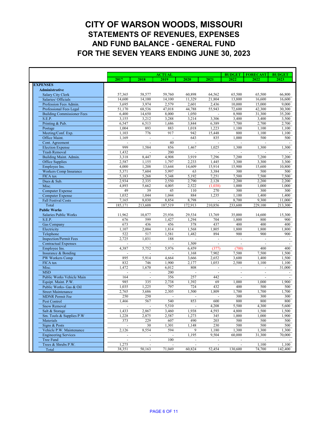|                                           |                          |                | <b>ACTUAL</b>   |              |                       | <b>BUDGET</b>            | <b>FORECAST</b>          | <b>BUDGET</b> |
|-------------------------------------------|--------------------------|----------------|-----------------|--------------|-----------------------|--------------------------|--------------------------|---------------|
|                                           | 2017                     | 2018           | 2019            | 2020         | 2021                  | 2022                     | 2022                     | 2023          |
| <b>EXPENSES</b>                           |                          |                |                 |              |                       |                          |                          |               |
| Administrative                            |                          |                |                 |              |                       |                          |                          |               |
| <b>Salary City Clerk</b>                  | 57,365                   | 58,577         | 59,760          | 60,898       | 64,562                | 65,500                   | 65,500                   | 66,800        |
| Salaries/ Officials                       | 14,600                   | 14,100         | 14,100          | 11,329       | 21,804                | 13,800                   | 16,600                   | 16,600        |
| Profession Fees Admin.                    | 3,695                    | 3,974          | 2,579           | 2,601        | 2,436                 | 10,000                   | 15,000                   | 9,000         |
| Professional Fees Legal                   | 51,170                   | 68,536         | 47,018          | 44,788       | 55,943                | 72,600                   | 42,300                   | 30,300        |
| <b>Building Commissioner Fees</b>         | 6,400                    | 14,650         | 8,000           | 1,050        |                       | 8,900                    | 31,300                   | 35,200        |
| S.E.P.                                    | 3,155                    | 3,212          | 3,288           | 3,214        | 3,306                 | 3,400                    | 3,400                    | 3,500         |
| Printing & Pub.                           | 6,547                    | 6,513          | 1,686           | 3,844        | 6,389                 | 7,700                    | 2,700                    | 2,700         |
| Postage                                   | 1,004                    | 893            | 883             | 1,018        | 1,223                 | 1,100                    | 1,100                    | 1,100         |
| Meeting/Conf. Exp.                        | 1,103                    | 776            | 917             | 942          | 15,448                | 800                      | 1,100                    | 1,100         |
| Office Maint.                             | 1,169                    |                |                 | 643          | 835                   | 1,000                    | 500                      | 500           |
| Cont. Agreement                           |                          |                | 40              |              |                       |                          |                          |               |
| <b>Election Expense</b>                   | 999                      | 1,584          | 856             | 1,467        | 1,025                 | 1,300                    | 1,300                    | 1,300         |
| <b>Trash Removal</b>                      | 1,432                    |                | 200             |              |                       |                          |                          |               |
| Building Maint. Admin.                    | 3,318                    | 8,447          | 4,908           | 3,919        | 7,296                 | 7,200                    | 7,200                    | 7,200         |
| Office Supplies                           | 2,587                    | 1,155          | 1,797           | 2,233        | 1,445                 | 3,300                    | 3,300                    | 3,300         |
| Employee Ins.                             | 4,000<br>5,371           | 1,208<br>7,604 | 13,644<br>5,997 | 14,609<br>63 | 15,914<br>3,384       | 15,900<br>300            | 15,600<br>500            | 10,800<br>500 |
| <b>Workers Comp Insurance</b><br>FICA tax | 5,183                    |                | 5,348           | 5,192        | 7,251                 | 7,500                    | 7,500                    | 7,500         |
| Dues & Sub.                               | 2,934                    | 5,268<br>2,335 | 2,550           | 2,790        | 2,128                 | 2,200                    | 2,200                    | 2,200         |
| Misc.                                     | 4,893                    | 5,662          | 4,005           | 2,522        | (1,038)               | 1,000                    | 1,000                    | 1,000         |
| <b>Computer Expense</b>                   | 49                       | 39             | 45              | 110          | 270                   | 300                      | 300                      | 300           |
| <b>Computer Expense</b>                   | 1,032                    | 1,044          | 1,044           | 884          | 1,235                 | 1,100                    | 1,400                    | 1,400         |
| <b>Fall Festival Costs</b>                | 7,165                    | 8,030          | 8,854           | 8,798        |                       | 8,700                    | 9,300                    | 11,000        |
| Total                                     | 185,171                  | 213,608        | 187,519         | 172,913      | 210,856               | 233,600                  | 229,100                  | 213,300       |
| <b>Public Works</b>                       |                          |                |                 |              |                       |                          |                          |               |
| <b>Salaries Public Works</b>              | 11,962                   | 10,877         | 25,936          | 29,534       | 13,769                | 35,000                   | 14,600                   | 15,300        |
| S.E.P.                                    | 676                      | 599            | 1,427           | 1,294        | 704                   | 1,800                    | 800                      | 900           |
| <b>Gas Company</b>                        | 673                      | 436            | 456             | 378          | 437                   | 400                      | 400                      | 400           |
| Electricity                               | 1,107                    | 2,004          | 1,814           | 1,568        | 1,805                 | 1,800                    | 1,800                    | 1,800         |
| Telephone                                 | 522                      | 517            | 1,581           | 1,482        | 894                   | 900                      | 900                      | 900           |
| <b>Inspection/Permit Fees</b>             | 2,725                    | 1,031          | 188             |              |                       |                          | $\blacksquare$           |               |
| <b>Contractual Expenses</b>               | $\blacksquare$           | $\blacksquare$ | $\blacksquare$  | 1,509        | $\blacksquare$        | $\blacksquare$           | $\overline{\phantom{a}}$ |               |
| Employee Ins.                             | 4,387                    | 5,752          | 5,976           | 6,459        | (377)                 | (700)                    | 400                      | 400           |
| Insurance & Bonding                       |                          |                |                 | 1,168        | 7,902                 | 7,500                    | 7,500                    | 1,500         |
| PW Workers Comp                           | 895                      | 5,914          | 4,664           | 3,666        | 2,652                 | 3,600                    | 1,400                    | 1,500         |
| FICA tax                                  | 832                      | 746            | 1,900           | 2,177        | 1,053                 | 2,500                    | 1,100                    | 1,100         |
| Misc.<br><b>MSD</b>                       | 1,472                    | 1,670          | 6,012           | 808          | $\blacksquare$        | $\blacksquare$           | $\blacksquare$           | 31,000        |
| Public Works Vehicle Main                 | 164                      |                | 200<br>356      | 257          | $\blacksquare$<br>442 | $\overline{\phantom{a}}$ | $\blacksquare$           |               |
| Equipt. Maint. P.W.                       | 985                      | 335            | 2,738           | 1,392        | 69                    | 1,000                    | 1,000                    | 1,900         |
| Public Works- Gas & Oil                   | 1,035                    | 1,225          | 797             | 724          | 432                   | 400                      | 500                      | 500           |
| <b>Street Maintenance</b>                 | 2,765                    | 3,686          | 2,305           | 1,500        | 1,809                 | 1,700                    | 1,700                    | 1,700         |
| <b>MDNR</b> Permit Fee                    | 250                      | 250            |                 |              |                       | 300                      | 300                      | 300           |
| Pest Control                              | 1,466                    | 567            | 540             | 853          | 600                   | 800                      | 800                      | 800           |
| <b>Snow Removal</b>                       |                          |                | 5,510           |              | 4,208                 | 5,500                    | 4,300                    | 5,600         |
| Salt & Storage                            | 1,433                    | 2,867          | 3,460           | 1,938        | 4,593                 | 4,800                    | 1,500                    | 1,500         |
| Sm. Tools & Supplies P.W                  | 1,228                    | 2,875          | 2,587           | 1,273        | 345                   | 1,000                    | 1,000                    | 1,900         |
| Materials                                 | 373                      | 229            | 607             | 490          | 203                   | 500                      | 500                      | 500           |
| Signs & Posts                             |                          | 30             | 1,301           | 1,148        | 230                   | 500                      | 500                      | 500           |
| Vehicle P.W. Maintenance                  | 2,126                    | 8,554          | 594             | 9            | 1,180                 | 1,300                    | 1,300                    | 1,300         |
| <b>Engineering Services</b>               | $\overline{\phantom{a}}$ |                |                 | 1,195        | 9,504                 | 60,000                   | 31,300                   | 70,000        |
| Tree Fund                                 |                          |                | 100             |              |                       |                          |                          |               |
| Trees & Shrubs P.W.                       | 1,275                    |                |                 |              |                       |                          | 1,100                    | 1,100         |
| Total                                     | 38,351                   | 50,163         | 71,049          | 60,824       | 52,454                | 130,600                  | 74,700                   | 142,400       |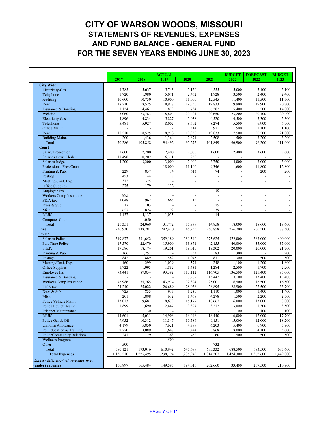|                                                              |                  |                          | <b>ACTUAL</b>            |                      |                              | <b>BUDGET</b>                    | <b>FORECAST</b>          | <b>BUDGET</b>    |
|--------------------------------------------------------------|------------------|--------------------------|--------------------------|----------------------|------------------------------|----------------------------------|--------------------------|------------------|
|                                                              | 2017             | 2018                     | 2019                     | 2020                 | 2021                         | 2022                             | 2022                     | 2023             |
| <b>City Wide</b>                                             |                  |                          |                          |                      |                              |                                  |                          |                  |
| <b>Electricity-Gas</b>                                       | 4,785            | 5,637                    | 5,743                    | 5,150                | 4,555                        | 5,000                            | 5,100                    | 5,100            |
| Telephone                                                    | 1,720            | 1,980                    | 5,071                    | 2,462                | 1,928                        | 3,500                            | 2,400                    | 2,400            |
| Auditing                                                     | 10,600           | 10,750                   | 10,900                   | 11,000               | 12,545                       | 11,400                           | 11,500                   | 11,500           |
| Rent                                                         | 18,210           | 18,525                   | 18,918                   | 19,350               | 19,833                       | 19,900                           | 19,900                   | 20,700           |
| Insurance & Bonding<br>Website                               | 1,124<br>5,060   | 14,461<br>23,783         | 873<br>18,804            | 734<br>20,401        | 6,282<br>20,650              | 5,400<br>23,200                  | 200<br>20,400            | 14,000<br>20,400 |
| <b>Electricity-Gas</b>                                       | 4,896            | 4,834                    | 5,827                    | 5,038                | 4,520                        | 4,500                            | 5,300                    | 5,300            |
| Telephone                                                    | 5,481            | 5,927                    | 8,002                    | 8,602                | 8,274                        | 5,500                            | 6,900                    | 6,900            |
| Office Maint.                                                |                  |                          | 72                       | 314                  | 921                          | 500                              | 1,100                    | 1,100            |
| Rent                                                         | 18,210           | 18,525                   | 18,918                   | 19,350               | 19,833                       | 17,500                           | 20,200                   | 21,000           |
| <b>Building Maint.</b>                                       | 200              | 1,436                    | 1,364                    | 2,871                | 2,508                        | 500                              | 3,200                    | 3,200            |
| Total                                                        | 70,286           | 105,858                  | 94,492                   | 95,272               | 101,849                      | 96,900                           | 96,200                   | 111,600          |
| Court                                                        |                  |                          |                          |                      |                              |                                  |                          |                  |
| <b>Salary Prosecutor</b><br><b>Salaries Court Clerk</b>      | 1,600<br>11,498  | 2,200<br>10,202          | 2,400<br>6,311           | 2,000<br>250         | 1,600<br>$\overline{a}$      | 2,400<br>$\sim$                  | 3,600                    | 3,600            |
| Salaries Judge                                               | 4,200            | 3,200                    | 3,000                    | 2,000                | 3,750                        | 4,000                            | 3,000                    | 3,000            |
| Professional Fees Court                                      |                  |                          | 18,000                   | 11,100               | 9,346                        | 11,600                           | 11,800                   | 12,800           |
| Printing & Pub.                                              | 229              | 837                      | 14                       | 613                  | 74                           |                                  | 200                      | 200              |
| Postage                                                      | 453              | 44                       | 123                      | $\blacksquare$       | $\overline{\phantom{a}}$     | $\blacksquare$                   | $\blacksquare$           |                  |
| Meeting/Conf. Exp.                                           | 372              | 325                      |                          |                      | $\blacksquare$               | $\overline{a}$                   | $\blacksquare$           |                  |
| Office Supplies                                              | 275              | 179                      | 132                      | $\blacksquare$       | $\blacksquare$               | $\blacksquare$                   | $\mathbf{r}$             |                  |
| Employee Ins.                                                | $\blacksquare$   | $\blacksquare$           | $\overline{\phantom{a}}$ | $\blacksquare$       | 10                           | $\overline{\phantom{a}}$         | $\blacksquare$           |                  |
| <b>Workers Comp Insurance</b>                                | 895              | $\overline{\phantom{a}}$ | $\sim$                   | $\blacksquare$       | $\qquad \qquad \blacksquare$ | $\blacksquare$                   | $\sim$                   |                  |
| FICA tax<br>Dues & Sub.                                      | 1,048<br>17      | 967<br>103               | 665                      | 15<br>$\blacksquare$ | $\blacksquare$<br>25         | $\blacksquare$<br>$\overline{a}$ | $\sim$<br>$\blacksquare$ | $\blacksquare$   |
| Misc.                                                        | 627              | 824                      | 92                       |                      | 39                           |                                  |                          |                  |
| <b>REJIS</b>                                                 | 4,137            | 4,137                    | 1,035                    | $\blacksquare$       | 14                           | $\overline{a}$                   | $\blacksquare$           |                  |
| <b>Computer Court</b>                                        |                  | 1,050                    |                          |                      |                              |                                  |                          |                  |
| Total                                                        | 25,351           | 24,069                   | 31,772                   | 15,979               | 14,858                       | 18,000                           | 18,600                   | 19,600           |
| Fire                                                         | 236,930          | 238,781                  | 242,420                  | 246,255              | 250,858                      | 256,700                          | 260,500                  | 278,500          |
| <b>Police</b>                                                |                  |                          |                          |                      |                              |                                  |                          |                  |
| <b>Salaries Police</b>                                       | 319,877          | 331,652                  | 359,189                  | 359,540              | 375,625                      | 372,000                          | 383,000                  | 400,000          |
| Part Time Police<br>S.E.P.                                   | 17,570<br>17,586 | 22,470<br>18,174         | 15,900<br>19,261         | 33,871<br>19,010     | 42,155<br>19,302             | 40,000<br>20,000                 | 35,000<br>20,000         | 35,000<br>21,700 |
| Printing & Pub.                                              | 166              | 1,251                    |                          | 353                  | 83                           | 300                              |                          | 200              |
| Postage                                                      | 842              | 889                      | 582                      | 1,045                | 871                          | 300                              | 500                      | 500              |
| Meeting/Conf. Exp.                                           | 160              | 299                      | 1,039                    | 574                  | 248                          | 1,100                            | 1,200                    | 1,800            |
| Office Supplies                                              | 1,722            | 1,095                    | 1,882                    | 1,431                | 1,284                        | 2,500                            | 1,700                    | 2,200            |
| Employee Ins.                                                | 73,441           | 87,834                   | 93,392                   | 110,112              | 116,705                      | 136,500                          | 125,400                  | 95,000           |
| Insurance & Bonding                                          |                  |                          |                          | 3,289                | 15,442                       | 13,100                           | 13,400                   | 13,400           |
| <b>Workers Comp Insurance</b>                                | 76,986           | 55,765                   | 43,974                   | 32,824               | 25,001                       | 16,500                           | 16,500                   | 16,500           |
| FICA tax<br>Dues & Sub.                                      | 24,240<br>725    | 25,022<br>855            | 26,689<br>915            | 28,038<br>1,230      | 28,895<br>1,110              | 28,900<br>1,000                  | 27,500<br>1,400          | 33,700<br>1,400  |
| Misc.                                                        | 201              | 1,898                    | 612                      | 1,468                | 4,278                        | 1,500                            | 2,200                    | 2,500            |
| Police Vehicle Maint.                                        | 13,013           | 9,681                    | 8,673                    | 15,177               | 10,667                       | 6,000                            | 13,000                   | 8,000            |
| Police Equipt. Maint.                                        | 1,899            | 1,690                    | 2,447                    | 3,397                | 3,212                        | 3,800                            | 1,300                    | 3,500            |
| Prisoner Maintenance                                         | $\blacksquare$   | 30                       |                          | $\blacksquare$       |                              | 100                              | 100                      | 100              |
| <b>REJIS</b>                                                 | 14,601           | 15,031                   | 14,908                   | 16,048               | 18,440                       | 16,000                           | 17,000                   | 17,700           |
| Police Gas & Oil                                             | 9,952            | 10,312                   | 11,347                   | 10,586               | 9,151                        | 15,000                           | 12,000                   | 18,200           |
| <b>Uniform Allowance</b>                                     | 4,179            | 5,850                    | 7,621                    | 4,799                | 6,203                        | 5,400                            | 6,900                    | 5,900            |
| Po. Education & Training<br><b>PoliceCommunity Relations</b> | 2,220<br>241     | 3,089<br>129             | 1,648<br>363             | 2,444<br>462         | 3,868<br>60                  | 8,000<br>500                     | 4,100<br>500             | 5,000<br>500     |
| <b>Wellness Program</b>                                      |                  |                          | 500                      |                      |                              |                                  |                          |                  |
| Other                                                        | 500              |                          |                          |                      | 732                          |                                  |                          |                  |
| Total                                                        | 580,121          | 593,016                  | 610,942                  | 645,699              | 683,332                      | 688,500                          | 683,500                  | 683,600          |
| <b>Total Expenses</b>                                        | 1,136,210        | 1,225,495                | 1,238,194                | 1,236,942            | 1,314,207                    | 1,424,300                        | 1,362,600                | 1,449,000        |
| <b>Excess (deficiency) of revenues over</b>                  |                  |                          |                          |                      |                              |                                  |                          |                  |
| (under) expenses                                             | 156,897          | 165,484                  | 149,595                  | 194,016              | 202,660                      | 33,400                           | 267,500                  | 210,900          |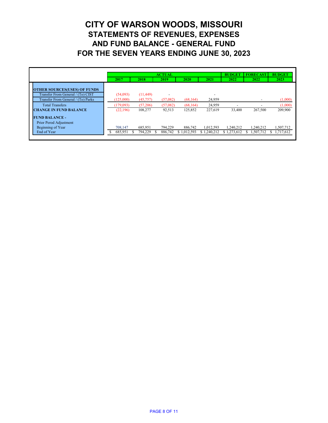|                                                                          |           |           | <b>ACTUAL</b> |             |             | <b>BUDGET</b>            | <b>FORECAST</b>          | <b>BUDGET</b> |
|--------------------------------------------------------------------------|-----------|-----------|---------------|-------------|-------------|--------------------------|--------------------------|---------------|
|                                                                          | 2017      | 2018      | 2019          | <b>2020</b> | 2021        | 2022                     | 2022                     | 2023          |
| <b>OTHER SOURCES(USES) OF FUNDS</b><br>Transfer From General / (To) CIST | (54,093)  | (11, 449) |               |             |             |                          |                          |               |
| Transfer From General / (To) Parks                                       | (125,000) | (45,757)  | (57,082)      | (68, 164)   | 24,959      |                          | $\sim$                   | (1,000)       |
| <b>Total Transfers</b>                                                   | (179,093) | (57,206)  | (57,082)      | (68, 164)   | 24,959      | $\overline{\phantom{a}}$ | $\overline{\phantom{0}}$ | (1,000)       |
| <b>CHANGE IN FUND BALANCE</b>                                            | (22,196)  | 108,277   | 92,513        | 125,852     | 227,619     | 33,400                   | 267,500                  | 209,900       |
| <b>FUND BALANCE -</b><br>Prior Perod Adjustment                          |           |           |               |             |             |                          |                          |               |
| Beginning of Year                                                        | 708,147   | 685,951   | 794,229       | 886,742     | 1,012,593   | 1,240,212                | 1,240,212                | 1,507,712     |
| End of Year                                                              | 685,951   | 794,229   | 886,742       | \$1,012,593 | \$1,240,212 | \$1,273,612              | 1,507,712                | 1,717,612     |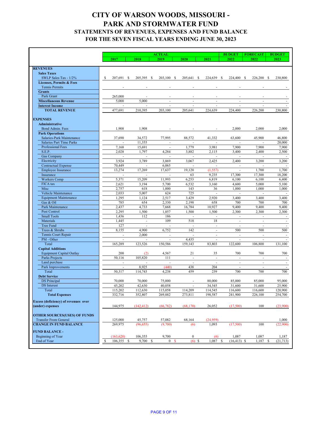|                                                     |                                    |                          | <b>ACTUAL</b>            |                          |                          | <b>BUDGET</b>            | <b>BUDGET</b>            |              |
|-----------------------------------------------------|------------------------------------|--------------------------|--------------------------|--------------------------|--------------------------|--------------------------|--------------------------|--------------|
|                                                     | 2017                               | 2018                     | 2019                     | 2020                     | 2021                     | 2022                     | <b>FORECAST</b><br>2022  | 2023         |
|                                                     |                                    |                          |                          |                          |                          |                          |                          |              |
| <b>REVENUES</b>                                     |                                    |                          |                          |                          |                          |                          |                          |              |
| <b>Sales Taxes</b><br>SWLP Sales Tax - 1/2%         |                                    |                          |                          |                          |                          |                          |                          |              |
| <b>Licenses, Permits &amp; Fees</b>                 | <sup>\$</sup><br>207,691 \$        | 205,395 \$               | 203,100 \$               | 205,641 \$               | 224,639 \$               | 224,400 \$               | 226,200 \$               | 230,800      |
| <b>Tennis Permits</b>                               |                                    |                          |                          |                          |                          |                          |                          |              |
| <b>Grants</b>                                       |                                    |                          |                          |                          |                          |                          |                          |              |
| Park Grant                                          | 265,000                            | $\overline{\phantom{a}}$ |                          |                          |                          |                          |                          |              |
| <b>Miscellaneous Revenue</b>                        | 5,000                              | 5,000                    | $\overline{\phantom{a}}$ | $\blacksquare$           | $\overline{\phantom{a}}$ | $\blacksquare$           | $\sim$                   |              |
| <b>Interest Income</b>                              |                                    |                          |                          |                          |                          |                          |                          |              |
| <b>TOTAL REVENUE</b>                                | 477,691                            | 210,395                  | 203,100                  | 205,641                  | 224,639                  | 224,400                  | 226,200                  | 230,800      |
|                                                     |                                    |                          |                          |                          |                          |                          |                          |              |
| <b>EXPENSES</b>                                     |                                    |                          |                          |                          |                          |                          |                          |              |
| <b>Administrative</b>                               |                                    |                          |                          |                          |                          |                          |                          |              |
| Bond Admin. Fees                                    | 1,908                              | 1,908                    |                          |                          |                          | 2,000                    | 2,000                    | 2,000        |
| <b>Park Operations</b><br>Salaries-Park Maintenance | 37,690                             | 34,572                   | 77,995                   | 88,572                   | 41,332                   | 63,600                   | 45,900                   | 46,800       |
| <b>Salaries Part Time Parks</b>                     |                                    | 11,355                   |                          |                          |                          |                          |                          | 20,000       |
| Professional Fees                                   | 7,168                              | 15,691                   |                          | 1,779                    | 3,981                    | 7,900                    | 7,900                    | 7,900        |
| S.E.P.                                              | 2,028                              | 1,797                    | 4,284                    | 3,882                    | 2,115                    | 3,400                    | 2,400                    | 2,500        |
| <b>Gas Company</b>                                  |                                    | $\overline{\phantom{a}}$ |                          |                          |                          |                          |                          |              |
| Electricity                                         | 3,924                              | 3,789                    | 3,869                    | 3,067                    | 2,425                    | 2,400                    | 3,200                    | 3,200        |
| <b>Contractual Expense</b>                          | 70,449                             | $\overline{a}$           | 6,065                    |                          |                          |                          |                          |              |
| <b>Employee Insurance</b>                           | 13,274                             | 17,269                   | 17,637                   | 19,120                   | (1, 557)                 |                          | 1,700                    | 1,700        |
| Insurance                                           | $\sim$                             | $\mathbf{r}$             | $\blacksquare$           | 63                       | 9,235                    | 17,300                   | 17,300                   | 18,200       |
| <b>Workers Comp</b>                                 | 5,371                              | 15,209                   | 11,993                   | 6,253                    | 6,819                    | 6,100                    | 6,100                    | 6,400        |
| FICA tax                                            | 2,621                              | 3,194                    | 5,700                    | 6,532                    | 3,160                    | 4,600                    | 5,000                    | 5,100        |
| Misc                                                | 2,757                              | 618                      | 1,000                    | 143                      | 36                       | 1,000                    | 1,000                    | 1,000        |
| Vehicle Maintenance                                 | 2,033<br>1,295                     | 5,007<br>1,124           | 624<br>2,517             | 725<br>3,429             | $\blacksquare$<br>2,920  | 3,400                    | 3,400                    |              |
| <b>Equipment Maintenance</b><br>Gas & Oil           | 785                                | 654                      | 2,330                    | 2,198                    | 658                      | 700                      | 700                      | 3,400<br>700 |
| Park Maintenance                                    | 2,437                              | 4,733                    | 7,668                    | 16,784                   | 10,927                   | 9,400                    | 9,400                    | 9,400        |
| Pest Control                                        | 2,295                              | 1,500                    | 1,857                    | 1,500                    | 1,500                    | 2,300                    | 2,300                    | 2,300        |
| <b>Small Tools</b>                                  | 1,436                              | 112                      | 186                      |                          |                          |                          |                          |              |
| Materials                                           | 1,445                              |                          | 109                      | 518                      | 18                       | $\blacksquare$           | $\blacksquare$           |              |
| Tree Fund                                           | 127                                |                          |                          | $\sim$                   | $\blacksquare$           | $\blacksquare$           | $\overline{\phantom{a}}$ |              |
| Trees & Shrubs                                      | 8,155                              | 4,900                    | 6,752                    | 142                      | $\blacksquare$           | 500                      | 500                      | 500          |
| Tennis Court Repair                                 | $\overline{\phantom{a}}$           | 2,000                    |                          |                          | $\blacksquare$           | $\blacksquare$           | $\blacksquare$           |              |
| PM - Other                                          |                                    |                          |                          | 4,435                    | $\blacksquare$           |                          |                          |              |
| Total                                               | 165,289                            | 123,526                  | 150,586                  | 159,143                  | 83,803                   | 122,600                  | 106,800                  | 131,100      |
| <b>Capital Additions</b>                            |                                    |                          |                          |                          |                          |                          |                          |              |
| <b>Equipment Capital Outlay</b>                     | 200                                | (2)                      | 4,567                    | 21                       | 35                       | 700                      | 700                      | 700          |
| Parks Projects<br>Land purchase                     | 50,116<br>$\overline{\phantom{a}}$ | 105,820                  | 111                      | $\blacksquare$           | $\blacksquare$           | $\overline{\phantom{a}}$ | $\overline{\phantom{a}}$ |              |
| Park Improvements                                   |                                    | 8,925                    | (440)                    | 438                      | 204                      |                          | $\blacksquare$           |              |
| Total                                               | 50,317                             | 114,743                  | 4,238                    | 459                      | 239                      | 700                      | 700                      | 700          |
| <b>Debt Service</b>                                 |                                    |                          |                          |                          |                          |                          |                          |              |
| <b>DS</b> Principal                                 | 70,000                             | 70,000                   | 75,000                   | $\overline{\phantom{a}}$ | 80,000                   | 85,000                   | 85,000                   | 95,000       |
| <b>DS</b> Interest                                  | 45,202                             | 42,630                   | 40,058                   | $\overline{\phantom{a}}$ | 34,545                   | 31,600                   | 31,600                   | 25,900       |
| Total                                               | 115,202                            | 112,630                  | 115,058                  | 114,209                  | 114,545                  | 116,600                  | 116,600                  | 120,900      |
| <b>Total Expenses</b>                               | 332,716                            | 352,807                  | 269,882                  | 273,811                  | 198,587                  | 241,900                  | 226,100                  | 254,700      |
| <b>Excess (deficiency) of revenues over</b>         |                                    |                          |                          |                          |                          |                          |                          |              |
| (under) expenses                                    | 144,975                            | (142, 412)               | (66, 782)                | (68,170)                 | 26,052                   | (17,500)                 | 100                      | (23,900)     |
|                                                     |                                    |                          |                          |                          |                          |                          |                          |              |
| <b>OTHER SOURCES(USES) OF FUNDS</b>                 |                                    |                          |                          |                          |                          |                          |                          |              |
| <b>Transfer From General</b>                        | 125,000                            | 45,757                   | 57,082                   | 68,164                   | (24,959)                 |                          |                          | 1,000        |
| <b>CHANGE IN FUND BALANCE</b>                       | 269,975                            | (96, 655)                | (9,700)                  | (6)                      | 1,093                    | (17,500)                 | 100                      | (22,900)     |
| <b>FUND BALANCE -</b>                               |                                    |                          |                          |                          |                          |                          |                          |              |
| Beginning of Year                                   | (163, 620)                         | 106,355                  | 9,700                    | $\boldsymbol{0}$         | (6)                      | 1,087                    | 1,087                    | 1,187        |
| End of Year                                         | 106,355 \$<br>$\mathbb{S}$         | 9,700 \$                 | 0 <sup>5</sup>           | $(6)$ \$                 | $1,087$ \$               | $(16, 413)$ \$           | $1,187$ \$               | (21,713)     |
|                                                     |                                    |                          |                          |                          |                          |                          |                          |              |

## **CITY OF WARSON WOODS, MISSOURI - PARK AND STORMWATER FUND STATEMENTS OF REVENUES, EXPENSES AND FUND BALANCE FOR THE SEVEN FISCAL YEARS ENDING JUNE 30, 2023**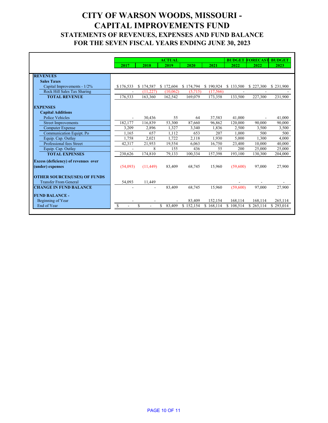## **CITY OF WARSON WOODS, MISSOURI - CAPITAL IMPROVEMENTS FUND STATEMENTS OF REVENUES, EXPENSES AND FUND BALANCE FOR THE SEVEN FISCAL YEARS ENDING JUNE 30, 2023**

|                                             |                |                | <b>ACTUAL</b> |           |           |           | <b>BUDGET FORECAST BUDGET</b> |           |
|---------------------------------------------|----------------|----------------|---------------|-----------|-----------|-----------|-------------------------------|-----------|
|                                             | 2017           | 2018           | 2019          | 2020      | 2021      | 2022      | 2022                          | 2023      |
|                                             |                |                |               |           |           |           |                               |           |
| <b>REVENUES</b>                             |                |                |               |           |           |           |                               |           |
| <b>Sales Taxes</b>                          |                |                |               |           |           |           |                               |           |
| Capital Improvements - 1/2%                 | \$176,533      | \$174,587      | \$172,604     | \$174,794 | \$190,924 | \$133,500 | \$227,300                     | \$231,900 |
| Rock Hill Sales Tax Sharing                 | $\blacksquare$ | (11,227)       | (10,062)      | (5,715)   | (17,566)  |           |                               |           |
| <b>TOTAL REVENUE</b>                        | 176,533        | 163,360        | 162,542       | 169,079   | 173,358   | 133,500   | 227,300                       | 231,900   |
|                                             |                |                |               |           |           |           |                               |           |
| <b>EXPENSES</b>                             |                |                |               |           |           |           |                               |           |
| <b>Capital Additions</b>                    |                |                |               |           |           |           |                               |           |
| <b>Police Vehicles</b>                      |                | 30,436         | 55            | 64        | 37,583    | 41,000    |                               | 41,000    |
| <b>Street Improvements</b>                  | 182,177        | 116,839        | 53,300        | 87,660    | 96,862    | 120,000   | 90,000                        | 90,000    |
| <b>Computer Expense</b>                     | 3,209          | 2,896          | 1,327         | 3,340     | 1,836     | 2,500     | 3,500                         | 3,500     |
| <b>Communication Equipt. Po</b>             | 1,165          | 657            | 1,112         | 653       | 207       | 1,000     | 500                           | 500       |
| Equip. Cap. Outlay                          | 1,758          | 2,021          | 1,722         | 2,118     | 1,930     | 5,000     | 1,300                         | 4,000     |
| Professional fees Street                    | 42,317         | 21,953         | 19,554        | 6,063     | 16,750    | 23,400    | 10,000                        | 40,000    |
| Equip. Cap. Outlay                          |                | 8              | 155           | 436       | 55        | 200       | 25,000                        | 25,000    |
| <b>TOTAL EXPENSES</b>                       | 230,626        | 174,810        | 79,133        | 100,334   | 157,398   | 193,100   | 130,300                       | 204,000   |
| <b>Excess (deficiency) of revenues over</b> |                |                |               |           |           |           |                               |           |
| (under) expenses                            | (54,093)       | (11, 449)      | 83,409        | 68,745    | 15,960    | (59,600)  | 97,000                        | 27,900    |
|                                             |                |                |               |           |           |           |                               |           |
| <b>OTHER SOURCES(USES) OF FUNDS</b>         |                |                |               |           |           |           |                               |           |
| <b>Transfer From General</b>                | 54,093         | 11,449         |               |           |           |           |                               |           |
| <b>CHANGE IN FUND BALANCE</b>               |                | $\blacksquare$ | 83,409        | 68,745    | 15,960    | (59,600)  | 97,000                        | 27,900    |
|                                             |                |                |               |           |           |           |                               |           |
| <b>FUND BALANCE -</b>                       |                |                |               |           |           |           |                               |           |
| Beginning of Year                           |                |                |               | 83,409    | 152,154   | 168,114   | 168,114                       | 265,114   |
| End of Year                                 | \$             | \$<br>$\sim$   | \$<br>83,409  | \$152,154 | \$168,114 | \$108,514 | \$265,114                     | \$293,014 |
|                                             |                |                |               |           |           |           |                               |           |